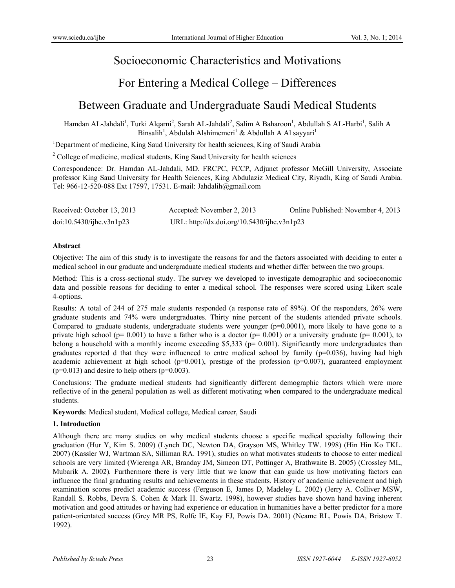# Socioeconomic Characteristics and Motivations

# For Entering a Medical College – Differences

# Between Graduate and Undergraduate Saudi Medical Students

Hamdan AL-Jahdali<sup>1</sup>, Turki Alqarni<sup>2</sup>, Sarah AL-Jahdali<sup>2</sup>, Salim A Baharoon<sup>1</sup>, Abdullah S AL-Harbi<sup>1</sup>, Salih A Binsalih<sup>1</sup>, Abdulah Alshimemeri<sup>1</sup> & Abdullah A Al sayyari<sup>1</sup>

<sup>1</sup>Department of medicine, King Saud University for health sciences, King of Saudi Arabia

<sup>2</sup> College of medicine, medical students, King Saud University for health sciences

Correspondence: Dr. Hamdan AL-Jahdali, MD. FRCPC, FCCP, Adjunct professor McGill University, Associate professor King Saud University for Health Sciences, King Abdulaziz Medical City, Riyadh, King of Saudi Arabia. Tel: 966-12-520-088 Ext 17597, 17531. E-mail: Jahdalih@gmail.com

| Received: October 13, 2013 | Accepted: November 2, 2013                  | Online Published: November 4, 2013 |
|----------------------------|---------------------------------------------|------------------------------------|
| doi:10.5430/ijhe.v3n1p23   | URL: http://dx.doi.org/10.5430/ijhe.v3n1p23 |                                    |

### **Abstract**

Objective: The aim of this study is to investigate the reasons for and the factors associated with deciding to enter a medical school in our graduate and undergraduate medical students and whether differ between the two groups.

Method: This is a cross-sectional study. The survey we developed to investigate demographic and socioeconomic data and possible reasons for deciding to enter a medical school. The responses were scored using Likert scale 4-options.

Results: A total of 244 of 275 male students responded (a response rate of 89%). Of the responders, 26% were graduate students and 74% were undergraduates. Thirty nine percent of the students attended private schools. Compared to graduate students, undergraduate students were younger (p=0.0001), more likely to have gone to a private high school ( $p= 0.001$ ) to have a father who is a doctor ( $p= 0.001$ ) or a university graduate ( $p= 0.001$ ), to belong a household with a monthly income exceeding \$5,333 ( $p= 0.001$ ). Significantly more undergraduates than graduates reported d that they were influenced to entre medical school by family ( $p=0.036$ ), having had high academic achievement at high school ( $p=0.001$ ), prestige of the profession ( $p=0.007$ ), guaranteed employment  $(p=0.013)$  and desire to help others  $(p=0.003)$ .

Conclusions: The graduate medical students had significantly different demographic factors which were more reflective of in the general population as well as different motivating when compared to the undergraduate medical students.

**Keywords**: Medical student, Medical college, Medical career, Saudi

## **1. Introduction**

Although there are many studies on why medical students choose a specific medical specialty following their graduation (Hur Y, Kim S. 2009) (Lynch DC, Newton DA, Grayson MS, Whitley TW. 1998) (Hin Hin Ko TKL. 2007) (Kassler WJ, Wartman SA, Silliman RA. 1991), studies on what motivates students to choose to enter medical schools are very limited (Wierenga AR, Branday JM, Simeon DT, Pottinger A, Brathwaite B. 2005) (Crossley ML, Mubarik A. 2002)*.* Furthermore there is very little that we know that can guide us how motivating factors can influence the final graduating results and achievements in these students. History of academic achievement and high examination scores predict academic success (Ferguson E, James D, Madeley L. 2002) (Jerry A. Colliver MSW, Randall S. Robbs, Devra S. Cohen & Mark H. Swartz. 1998), however studies have shown hand having inherent motivation and good attitudes or having had experience or education in humanities have a better predictor for a more patient-orientated success (Grey MR PS, Rolfe IE, Kay FJ, Powis DA. 2001) (Neame RL, Powis DA, Bristow T. 1992).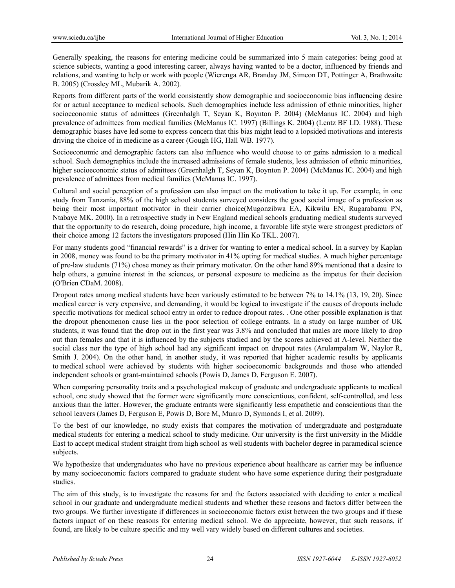Generally speaking, the reasons for entering medicine could be summarized into 5 main categories: being good at science subjects, wanting a good interesting career, always having wanted to be a doctor, influenced by friends and relations, and wanting to help or work with people (Wierenga AR, Branday JM, Simeon DT, Pottinger A, Brathwaite B. 2005) (Crossley ML, Mubarik A. 2002)*.*

Reports from different parts of the world consistently show demographic and socioeconomic bias influencing desire for or actual acceptance to medical schools. Such demographics include less admission of ethnic minorities, higher socioeconomic status of admittees (Greenhalgh T, Seyan K, Boynton P. 2004) (McManus IC. 2004) and high prevalence of admittees from medical families (McManus IC. 1997) (Billings K. 2004) (Lentz BF LD. 1988). These demographic biases have led some to express concern that this bias might lead to a lopsided motivations and interests driving the choice of in medicine as a career (Gough HG, Hall WB. 1977).

Socioeconomic and demographic factors can also influence who would choose to or gains admission to a medical school. Such demographics include the increased admissions of female students, less admission of ethnic minorities, higher socioeconomic status of admittees (Greenhalgh T, Seyan K, Boynton P. 2004) (McManus IC. 2004) and high prevalence of admittees from medical families (McManus IC. 1997).

Cultural and social perception of a profession can also impact on the motivation to take it up. For example, in one study from Tanzania, 88% of the high school students surveyed considers the good social image of a profession as being their most important motivator in their carrier choice(Mugonzibwa EA, Kikwilu EN, Rugarabamu PN, Ntabaye MK. 2000). In a retrospective study in New England medical schools graduating medical students surveyed that the opportunity to do research, doing procedure, high income, a favorable life style were strongest predictors of their choice among 12 factors the investigators proposed (Hin Hin Ko TKL. 2007).

For many students good "financial rewards" is a driver for wanting to enter a medical school. In a survey by Kaplan in 2008, money was found to be the primary motivator in 41% opting for medical studies. A much higher percentage of pre-law students (71%) chose money as their primary motivator. On the other hand 89% mentioned that a desire to help others, a genuine interest in the sciences, or personal exposure to medicine as the impetus for their decision (O'Brien CDaM. 2008).

Dropout rates among medical students have been variously estimated to be between 7% to 14.1% (13, 19, 20). Since medical career is very expensive, and demanding, it would be logical to investigate if the causes of dropouts include specific motivations for medical school entry in order to reduce dropout rates. . One other possible explanation is that the dropout phenomenon cause lies in the poor selection of college entrants. In a study on large number of UK students, it was found that the drop out in the first year was 3.8% and concluded that males are more likely to drop out than females and that it is influenced by the subjects studied and by the scores achieved at A-level. Neither the social class nor the type of high school had any significant impact on dropout rates (Arulampalam W, Naylor R, Smith J. 2004). On the other hand, in another study, it was reported that higher academic results by applicants to medical school were achieved by students with higher socioeconomic backgrounds and those who attended independent schools or grant-maintained schools (Powis D, James D, Ferguson E. 2007).

When comparing personality traits and a psychological makeup of graduate and undergraduate applicants to medical school, one study showed that the former were significantly more conscientious, confident, self-controlled, and less anxious than the latter. However, the graduate entrants were significantly less empathetic and conscientious than the school leavers (James D, Ferguson E, Powis D, Bore M, Munro D, Symonds I, et al. 2009).

To the best of our knowledge, no study exists that compares the motivation of undergraduate and postgraduate medical students for entering a medical school to study medicine. Our university is the first university in the Middle East to accept medical student straight from high school as well students with bachelor degree in paramedical science subjects.

We hypothesize that undergraduates who have no previous experience about healthcare as carrier may be influence by many socioeconomic factors compared to graduate student who have some experience during their postgraduate studies.

The aim of this study, is to investigate the reasons for and the factors associated with deciding to enter a medical school in our graduate and undergraduate medical students and whether these reasons and factors differ between the two groups. We further investigate if differences in socioeconomic factors exist between the two groups and if these factors impact of on these reasons for entering medical school. We do appreciate, however, that such reasons, if found, are likely to be culture specific and my well vary widely based on different cultures and societies.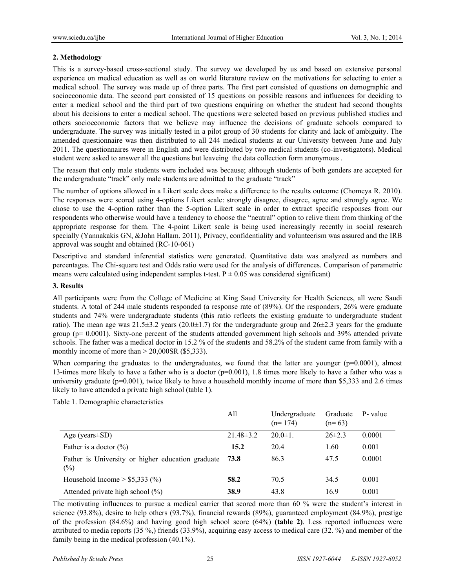### **2. Methodology**

This is a survey-based cross-sectional study. The survey we developed by us and based on extensive personal experience on medical education as well as on world literature review on the motivations for selecting to enter a medical school. The survey was made up of three parts. The first part consisted of questions on demographic and socioeconomic data. The second part consisted of 15 questions on possible reasons and influences for deciding to enter a medical school and the third part of two questions enquiring on whether the student had second thoughts about his decisions to enter a medical school. The questions were selected based on previous published studies and others socioeconomic factors that we believe may influence the decisions of graduate schools compared to undergraduate. The survey was initially tested in a pilot group of 30 students for clarity and lack of ambiguity. The amended questionnaire was then distributed to all 244 medical students at our University between June and July 2011. The questionnaires were in English and were distributed by two medical students (co-investigators). Medical student were asked to answer all the questions but leaveing the data collection form anonymous .

The reason that only male students were included was because; although students of both genders are accepted for the undergraduate "track" only male students are admitted to the graduate "track"

The number of options allowed in a Likert scale does make a difference to the results outcome (Chomeya R. 2010). The responses were scored using 4-options Likert scale: strongly disagree, disagree, agree and strongly agree. We chose to use the 4-option rather than the 5-option Likert scale in order to extract specific responses from our respondents who otherwise would have a tendency to choose the "neutral" option to relive them from thinking of the appropriate response for them. The 4-point Likert scale is being used increasingly recently in social research specially (Yannakakis GN, &John Hallam. 2011), Privacy, confidentiality and volunteerism was assured and the IRB approval was sought and obtained (RC-10-061)

Descriptive and standard inferential statistics were generated. Quantitative data was analyzed as numbers and percentages. The Chi-square test and Odds ratio were used for the analysis of differences. Comparison of parametric means were calculated using independent samples t-test.  $P \pm 0.05$  was considered significant)

### **3. Results**

All participants were from the College of Medicine at King Saud University for Health Sciences, all were Saudi students. A total of 244 male students responded (a response rate of (89%). Of the responders, 26% were graduate students and 74% were undergraduate students (this ratio reflects the existing graduate to undergraduate student ratio). The mean age was  $21.5\pm3.2$  years ( $20.0\pm1.7$ ) for the undergraduate group and  $26\pm2.3$  years for the graduate group (p= 0.0001). Sixty-one percent of the students attended government high schools and 39% attended private schools. The father was a medical doctor in 15.2 % of the students and 58.2% of the student came from family with a monthly income of more than  $> 20,000$ SR (\$5,333).

When comparing the graduates to the undergraduates, we found that the latter are younger (p=0.0001), almost 13-times more likely to have a father who is a doctor (p=0.001), 1.8 times more likely to have a father who was a university graduate  $(p=0.001)$ , twice likely to have a household monthly income of more than \$5,333 and 2.6 times likely to have attended a private high school (table 1).

|                                                             | All             | Undergraduate<br>$(n=174)$ | Graduate<br>$(n=63)$ | P- value |
|-------------------------------------------------------------|-----------------|----------------------------|----------------------|----------|
| Age (years $\pm$ SD)                                        | $21.48 \pm 3.2$ | $20.0 \pm 1$ .             | $26\pm2.3$           | 0.0001   |
| Father is a doctor $(\%)$                                   | 15.2            | 20.4                       | 1.60                 | 0.001    |
| Father is University or higher education graduate<br>$(\%)$ | 73.8            | 86.3                       | 47.5                 | 0.0001   |
| Household Income $> $5,333$ (%)                             | 58.2            | 70.5                       | 34.5                 | 0.001    |
| Attended private high school $(\%)$                         | 38.9            | 43.8                       | 16.9                 | 0.001    |

Table 1. Demographic characteristics

The motivating influences to pursue a medical carrier that scored more than 60 % were the student's interest in science (93.8%), desire to help others (93.7%), financial rewards (89%), guaranteed employment (84.9%), prestige of the profession (84.6%) and having good high school score (64%) **(table 2)**. Less reported influences were attributed to media reports (35 %,) friends (33.9%), acquiring easy access to medical care (32. %) and member of the family being in the medical profession (40.1%).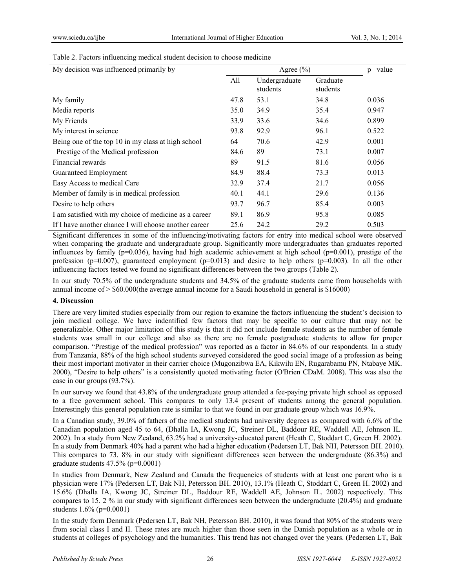|  | Table 2. Factors influencing medical student decision to choose medicine |  |  |  |
|--|--------------------------------------------------------------------------|--|--|--|
|  |                                                                          |  |  |  |

| My decision was influenced primarily by               | Agree $(\% )$ |                           |                      | $p$ –value |
|-------------------------------------------------------|---------------|---------------------------|----------------------|------------|
|                                                       | All           | Undergraduate<br>students | Graduate<br>students |            |
| My family                                             | 47.8          | 53.1                      | 34.8                 | 0.036      |
| Media reports                                         | 35.0          | 34.9                      | 35.4                 | 0.947      |
| My Friends                                            | 33.9          | 33.6                      | 34.6                 | 0.899      |
| My interest in science                                | 93.8          | 92.9                      | 96.1                 | 0.522      |
| Being one of the top 10 in my class at high school    | 64            | 70.6                      | 42.9                 | 0.001      |
| Prestige of the Medical profession                    | 84.6          | 89                        | 73.1                 | 0.007      |
| Financial rewards                                     | 89            | 91.5                      | 81.6                 | 0.056      |
| Guaranteed Employment                                 | 84.9          | 88.4                      | 73.3                 | 0.013      |
| Easy Access to medical Care                           | 32.9          | 37.4                      | 21.7                 | 0.056      |
| Member of family is in medical profession             | 40.1          | 44.1                      | 29.6                 | 0.136      |
| Desire to help others                                 | 93.7          | 96.7                      | 85.4                 | 0.003      |
| I am satisfied with my choice of medicine as a career | 89.1          | 86.9                      | 95.8                 | 0.085      |
| If I have another chance I will choose another career | 25.6          | 24.2                      | 29.2                 | 0.503      |

Significant differences in some of the influencing/motivating factors for entry into medical school were observed when comparing the graduate and undergraduate group. Significantly more undergraduates than graduates reported influences by family ( $p=0.036$ ), having had high academic achievement at high school ( $p=0.001$ ), prestige of the profession ( $p=0.007$ ), guaranteed employment ( $p=0.013$ ) and desire to help others ( $p=0.003$ ). In all the other influencing factors tested we found no significant differences between the two groups (Table 2).

In our study 70.5% of the undergraduate students and 34.5% of the graduate students came from households with annual income of > \$60.000(the average annual income for a Saudi household in general is \$16000)

#### **4. Discussion**

There are very limited studies especially from our region to examine the factors influencing the student's decision to join medical college. We have indentified few factors that may be specific to our culture that may not be generalizable. Other major limitation of this study is that it did not include female students as the number of female students was small in our college and also as there are no female postgraduate students to allow for proper comparison. "Prestige of the medical profession" was reported as a factor in 84.6% of our respondents. In a study from Tanzania, 88% of the high school students surveyed considered the good social image of a profession as being their most important motivator in their carrier choice (Mugonzibwa EA, Kikwilu EN, Rugarabamu PN, Ntabaye MK. 2000), "Desire to help others" is a consistently quoted motivating factor (O'Brien CDaM. 2008). This was also the case in our groups (93.7%).

In our survey we found that 43.8% of the undergraduate group attended a fee-paying private high school as opposed to a free government school. This compares to only 13.4 present of students among the general population. Interestingly this general population rate is similar to that we found in our graduate group which was 16.9%.

In a Canadian study, 39.0% of fathers of the medical students had university degrees as compared with 6.6% of the Canadian population aged 45 to 64, (Dhalla IA, Kwong JC, Streiner DL, Baddour RE, Waddell AE, Johnson IL. 2002). In a study from New Zealand, 63.2% had a university-educated parent (Heath C, Stoddart C, Green H. 2002). In a study from Denmark 40% had a parent who had a higher education (Pedersen LT, Bak NH, Petersson BH. 2010). This compares to 73. 8% in our study with significant differences seen between the undergraduate (86.3%) and graduate students  $47.5\%$  (p=0.0001)

In studies from Denmark, New Zealand and Canada the frequencies of students with at least one parent who is a physician were 17% (Pedersen LT, Bak NH, Petersson BH. 2010), 13.1% (Heath C, Stoddart C, Green H. 2002) and 15.6% (Dhalla IA, Kwong JC, Streiner DL, Baddour RE, Waddell AE, Johnson IL. 2002) respectively. This compares to 15. 2 % in our study with significant differences seen between the undergraduate (20.4%) and graduate students 1.6% (p=0.0001)

In the study form Denmark (Pedersen LT, Bak NH, Petersson BH. 2010), it was found that 80% of the students were from social class I and II. These rates are much higher than those seen in the Danish population as a whole or in students at colleges of psychology and the humanities. This trend has not changed over the years. (Pedersen LT, Bak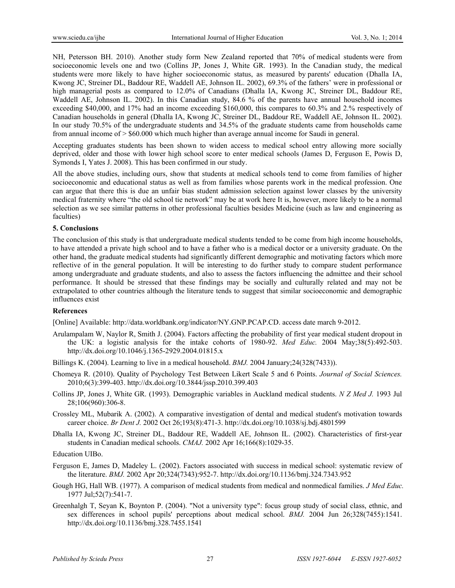NH, Petersson BH. 2010). Another study form New Zealand reported that 70% of medical students were from socioeconomic levels one and two (Collins JP, Jones J, White GR. 1993). In the Canadian study, the medical students were more likely to have higher socioeconomic status, as measured by parents' education (Dhalla IA, Kwong JC, Streiner DL, Baddour RE, Waddell AE, Johnson IL. 2002), 69.3% of the fathers' were in professional or high managerial posts as compared to 12.0% of Canadians (Dhalla IA, Kwong JC, Streiner DL, Baddour RE, Waddell AE, Johnson IL. 2002). In this Canadian study, 84.6 % of the parents have annual household incomes exceeding \$40,000, and 17% had an income exceeding \$160,000, this compares to 60.3% and 2.% respectively of Canadian households in general (Dhalla IA, Kwong JC, Streiner DL, Baddour RE, Waddell AE, Johnson IL. 2002). In our study 70.5% of the undergraduate students and 34.5% of the graduate students came from households came from annual income of > \$60.000 which much higher than average annual income for Saudi in general.

Accepting graduates students has been shown to widen access to medical school entry allowing more socially deprived, older and those with lower high school score to enter medical schools (James D, Ferguson E, Powis D, Symonds I, Yates J. 2008). This has been confirmed in our study.

All the above studies, including ours, show that students at medical schools tend to come from families of higher socioeconomic and educational status as well as from families whose parents work in the medical profession. One can argue that there this is due an unfair bias student admission selection against lower classes by the university medical fraternity where "the old school tie network" may be at work here It is, however, more likely to be a normal selection as we see similar patterns in other professional faculties besides Medicine (such as law and engineering as faculties)

#### **5. Conclusions**

The conclusion of this study is that undergraduate medical students tended to be come from high income households, to have attended a private high school and to have a father who is a medical doctor or a university graduate. On the other hand, the graduate medical students had significantly different demographic and motivating factors which more reflective of in the general population. It will be interesting to do further study to compare student performance among undergraduate and graduate students, and also to assess the factors influencing the admittee and their school performance. It should be stressed that these findings may be socially and culturally related and may not be extrapolated to other countries although the literature tends to suggest that similar socioeconomic and demographic influences exist

#### **References**

[Online] Available: http://data.worldbank.org/indicator/NY.GNP.PCAP.CD. access date march 9-2012.

- Arulampalam W, Naylor R, Smith J. (2004). Factors affecting the probability of first year medical student dropout in the UK: a logistic analysis for the intake cohorts of 1980-92. *Med Educ.* 2004 May;38(5):492-503. http://dx.doi.org/10.1046/j.1365-2929.2004.01815.x
- Billings K. (2004). Learning to live in a medical household. *BMJ.* 2004 January;24(328(7433)).
- Chomeya R. (2010). Quality of Psychology Test Between Likert Scale 5 and 6 Points. *Journal of Social Sciences.*  2010;6(3):399-403. http://dx.doi.org/10.3844/jssp.2010.399.403
- Collins JP, Jones J, White GR. (1993). Demographic variables in Auckland medical students. *N Z Med J.* 1993 Jul 28;106(960):306-8.
- Crossley ML, Mubarik A. (2002). A comparative investigation of dental and medical student's motivation towards career choice. *Br Dent J.* 2002 Oct 26;193(8):471-3. http://dx.doi.org/10.1038/sj.bdj.4801599
- Dhalla IA, Kwong JC, Streiner DL, Baddour RE, Waddell AE, Johnson IL. (2002). Characteristics of first-year students in Canadian medical schools. *CMAJ.* 2002 Apr 16;166(8):1029-35.

Education UIBo.

- Ferguson E, James D, Madeley L. (2002). Factors associated with success in medical school: systematic review of the literature. *BMJ.* 2002 Apr 20;324(7343):952-7. http://dx.doi.org/10.1136/bmj.324.7343.952
- Gough HG, Hall WB. (1977). A comparison of medical students from medical and nonmedical families. *J Med Educ.*  1977 Jul;52(7):541-7.
- Greenhalgh T, Seyan K, Boynton P. (2004). "Not a university type": focus group study of social class, ethnic, and sex differences in school pupils' perceptions about medical school. *BMJ.* 2004 Jun 26;328(7455):1541. http://dx.doi.org/10.1136/bmj.328.7455.1541